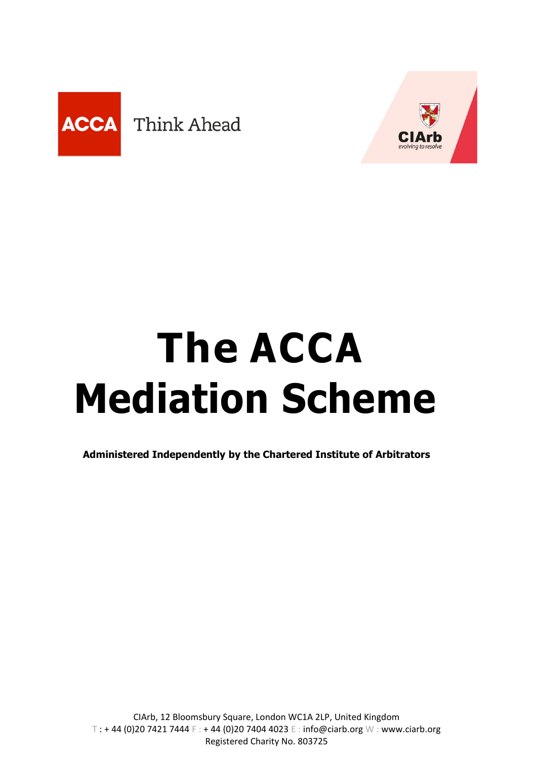



# **The ACCA Mediation Scheme**

**Administered Independently by the Chartered Institute of Arbitrators**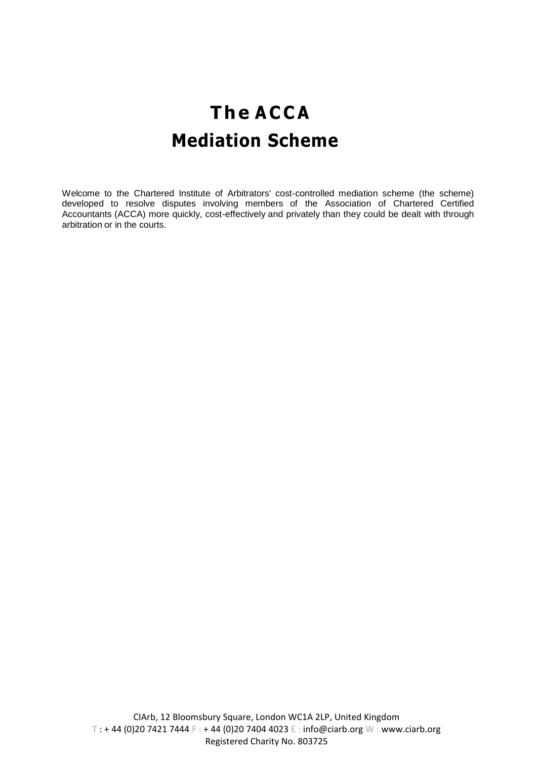### **The A C C A Mediation Scheme**

Welcome to the Chartered Institute of Arbitrators' cost-controlled mediation scheme (the scheme) developed to resolve disputes involving members of the Association of Chartered Certified Accountants (ACCA) more quickly, cost-effectively and privately than they could be dealt with through arbitration or in the courts.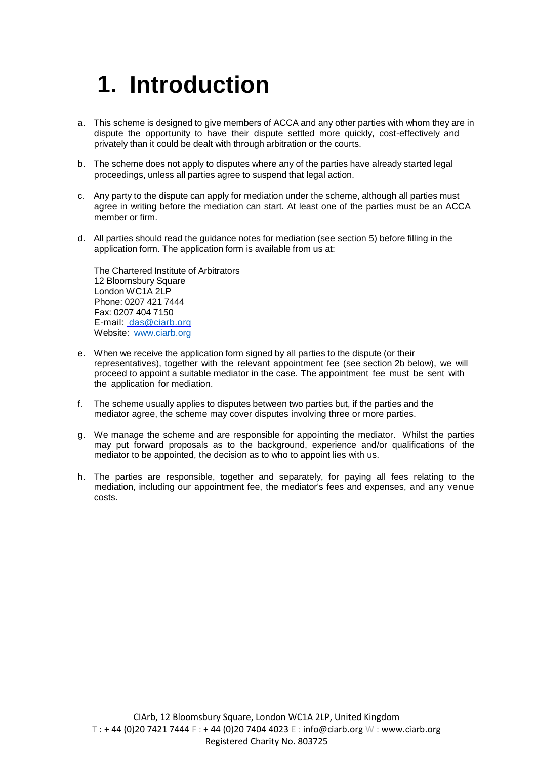### **1. Introduction**

- a. This scheme is designed to give members of ACCA and any other parties with whom they are in dispute the opportunity to have their dispute settled more quickly, cost-effectively and privately than it could be dealt with through arbitration or the courts.
- b. The scheme does not apply to disputes where any of the parties have already started legal proceedings, unless all parties agree to suspend that legal action.
- c. Any party to the dispute can apply for mediation under the scheme, although all parties must agree in writing before the mediation can start. At least one of the parties must be an ACCA member or firm.
- d. All parties should read the guidance notes for mediation (see section 5) before filling in the application form. The application form is available from us at:

The Chartered Institute of Arbitrators 12 Bloomsbury Square London WC1A 2LP Phone: 0207 421 7444 Fax: 0207 404 7150 E-mail: [das@ciarb.org](mailto:das@ciarb.org) Website: [www.ciarb.org](http://www.ciarb.org/)

- e. When we receive the application form signed by all parties to the dispute (or their representatives), together with the relevant appointment fee (see section 2b below), we will proceed to appoint a suitable mediator in the case. The appointment fee must be sent with the application for mediation.
- f. The scheme usually applies to disputes between two parties but, if the parties and the mediator agree, the scheme may cover disputes involving three or more parties.
- g. We manage the scheme and are responsible for appointing the mediator. Whilst the parties may put forward proposals as to the background, experience and/or qualifications of the mediator to be appointed, the decision as to who to appoint lies with us.
- h. The parties are responsible, together and separately, for paying all fees relating to the mediation, including our appointment fee, the mediator's fees and expenses, and any venue costs.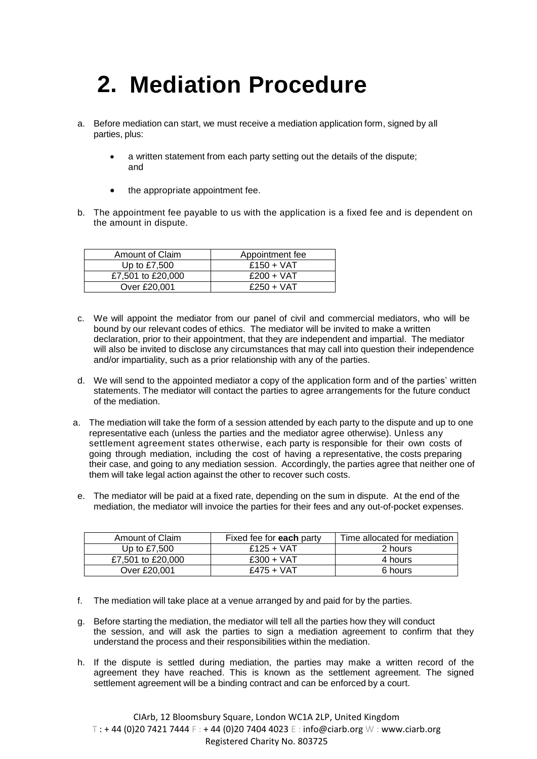### **2. Mediation Procedure**

- a. Before mediation can start, we must receive a mediation application form, signed by all parties, plus:
	- a written statement from each party setting out the details of the dispute; and
	- the appropriate appointment fee.
- b. The appointment fee payable to us with the application is a fixed fee and is dependent on the amount in dispute.

| Amount of Claim   | Appointment fee |
|-------------------|-----------------|
| Up to $£7,500$    | $£150 + VAT$    |
| £7,501 to £20,000 | $£200 + VAT$    |
| Over £20,001      | $£250 + VAT$    |

- c. We will appoint the mediator from our panel of civil and commercial mediators, who will be bound by our relevant codes of ethics. The mediator will be invited to make a written declaration, prior to their appointment, that they are independent and impartial. The mediator will also be invited to disclose any circumstances that may call into question their independence and/or impartiality, such as a prior relationship with any of the parties.
- d. We will send to the appointed mediator a copy of the application form and of the parties' written statements. The mediator will contact the parties to agree arrangements for the future conduct of the mediation.
- a. The mediation will take the form of a session attended by each party to the dispute and up to one representative each (unless the parties and the mediator agree otherwise). Unless any settlement agreement states otherwise, each party is responsible for their own costs of going through mediation, including the cost of having a representative, the costs preparing their case, and going to any mediation session. Accordingly, the parties agree that neither one of them will take legal action against the other to recover such costs.
- e. The mediator will be paid at a fixed rate, depending on the sum in dispute. At the end of the mediation, the mediator will invoice the parties for their fees and any out-of-pocket expenses.

| Amount of Claim   | Fixed fee for <b>each</b> party | Time allocated for mediation |
|-------------------|---------------------------------|------------------------------|
| Up to $£7,500$    | $£125 + VAT$                    | 2 hours                      |
| £7,501 to £20,000 | $£300 + VAT$                    | 4 hours                      |
| Over £20,001      | $£475 + VAT$                    | 6 hours                      |

- f. The mediation will take place at a venue arranged by and paid for by the parties.
- g. Before starting the mediation, the mediator will tell all the parties how they will conduct the session, and will ask the parties to sign a mediation agreement to confirm that they understand the process and their responsibilities within the mediation.
- h. If the dispute is settled during mediation, the parties may make a written record of the agreement they have reached. This is known as the settlement agreement. The signed settlement agreement will be a binding contract and can be enforced by a court.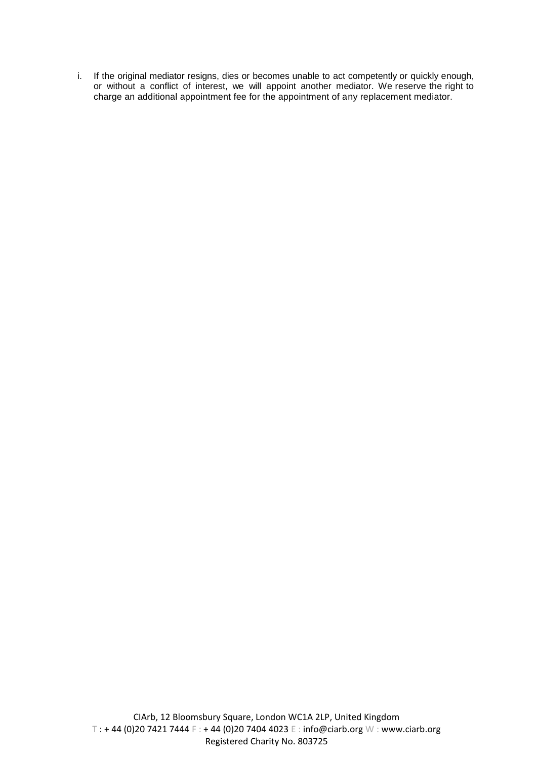i. If the original mediator resigns, dies or becomes unable to act competently or quickly enough, or without a conflict of interest, we will appoint another mediator. We reserve the right to charge an additional appointment fee for the appointment of any replacement mediator.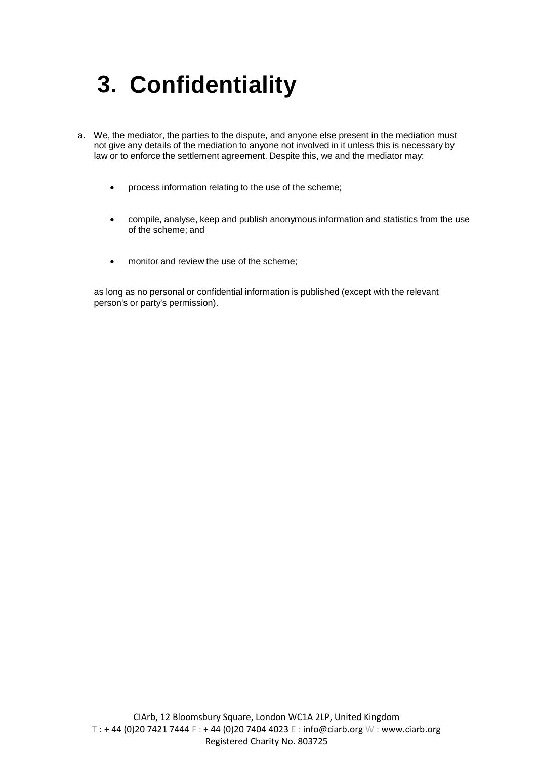## **3. Confidentiality**

- a. We, the mediator, the parties to the dispute, and anyone else present in the mediation must not give any details of the mediation to anyone not involved in it unless this is necessary by law or to enforce the settlement agreement. Despite this, we and the mediator may:
	- process information relating to the use of the scheme;
	- compile, analyse, keep and publish anonymous information and statistics from the use of the scheme; and
	- monitor and review the use of the scheme;

as long as no personal or confidential information is published (except with the relevant person's or party's permission).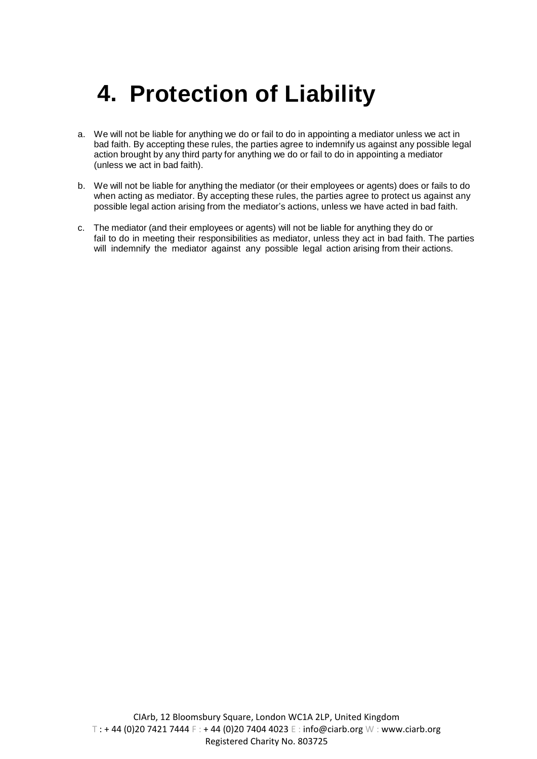### **4. Protection of Liability**

- a. We will not be liable for anything we do or fail to do in appointing a mediator unless we act in bad faith. By accepting these rules, the parties agree to indemnify us against any possible legal action brought by any third party for anything we do or fail to do in appointing a mediator (unless we act in bad faith).
- b. We will not be liable for anything the mediator (or their employees or agents) does or fails to do when acting as mediator. By accepting these rules, the parties agree to protect us against any possible legal action arising from the mediator's actions, unless we have acted in bad faith.
- c. The mediator (and their employees or agents) will not be liable for anything they do or fail to do in meeting their responsibilities as mediator, unless they act in bad faith. The parties will indemnify the mediator against any possible legal action arising from their actions.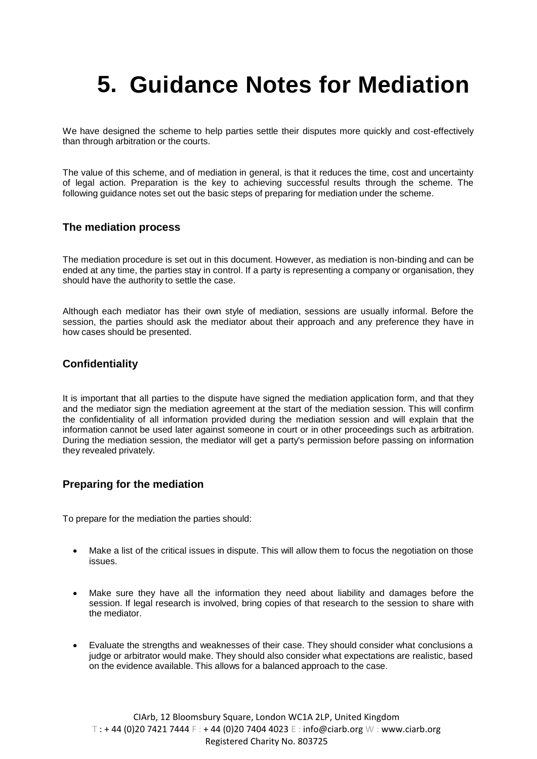### **5. Guidance Notes for Mediation**

We have designed the scheme to help parties settle their disputes more quickly and cost-effectively than through arbitration or the courts.

The value of this scheme, and of mediation in general, is that it reduces the time, cost and uncertainty of legal action. Preparation is the key to achieving successful results through the scheme. The following guidance notes set out the basic steps of preparing for mediation under the scheme.

#### **The mediation process**

The mediation procedure is set out in this document. However, as mediation is non-binding and can be ended at any time, the parties stay in control. If a party is representing a company or organisation, they should have the authority to settle the case.

Although each mediator has their own style of mediation, sessions are usually informal. Before the session, the parties should ask the mediator about their approach and any preference they have in how cases should be presented.

#### **Confidentiality**

It is important that all parties to the dispute have signed the mediation application form, and that they and the mediator sign the mediation agreement at the start of the mediation session. This will confirm the confidentiality of all information provided during the mediation session and will explain that the information cannot be used later against someone in court or in other proceedings such as arbitration. During the mediation session, the mediator will get a party's permission before passing on information they revealed privately.

#### **Preparing for the mediation**

To prepare for the mediation the parties should:

- Make a list of the critical issues in dispute. This will allow them to focus the negotiation on those issues.
- Make sure they have all the information they need about liability and damages before the session. If legal research is involved, bring copies of that research to the session to share with the mediator.
- Evaluate the strengths and weaknesses of their case. They should consider what conclusions a judge or arbitrator would make. They should also consider what expectations are realistic, based on the evidence available. This allows for a balanced approach to the case.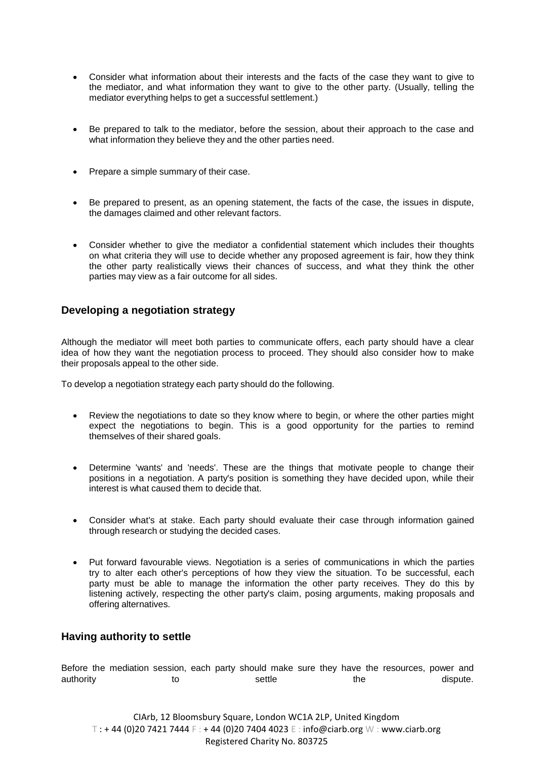- Consider what information about their interests and the facts of the case they want to give to the mediator, and what information they want to give to the other party. (Usually, telling the mediator everything helps to get a successful settlement.)
- Be prepared to talk to the mediator, before the session, about their approach to the case and what information they believe they and the other parties need.
- Prepare a simple summary of their case.
- Be prepared to present, as an opening statement, the facts of the case, the issues in dispute, the damages claimed and other relevant factors.
- Consider whether to give the mediator a confidential statement which includes their thoughts on what criteria they will use to decide whether any proposed agreement is fair, how they think the other party realistically views their chances of success, and what they think the other parties may view as a fair outcome for all sides.

#### **Developing a negotiation strategy**

Although the mediator will meet both parties to communicate offers, each party should have a clear idea of how they want the negotiation process to proceed. They should also consider how to make their proposals appeal to the other side.

To develop a negotiation strategy each party should do the following.

- Review the negotiations to date so they know where to begin, or where the other parties might expect the negotiations to begin. This is a good opportunity for the parties to remind themselves of their shared goals.
- Determine 'wants' and 'needs'. These are the things that motivate people to change their positions in a negotiation. A party's position is something they have decided upon, while their interest is what caused them to decide that.
- Consider what's at stake. Each party should evaluate their case through information gained through research or studying the decided cases.
- Put forward favourable views. Negotiation is a series of communications in which the parties try to alter each other's perceptions of how they view the situation. To be successful, each party must be able to manage the information the other party receives. They do this by listening actively, respecting the other party's claim, posing arguments, making proposals and offering alternatives.

#### **Having authority to settle**

Before the mediation session, each party should make sure they have the resources, power and authority to to settle the the dispute.